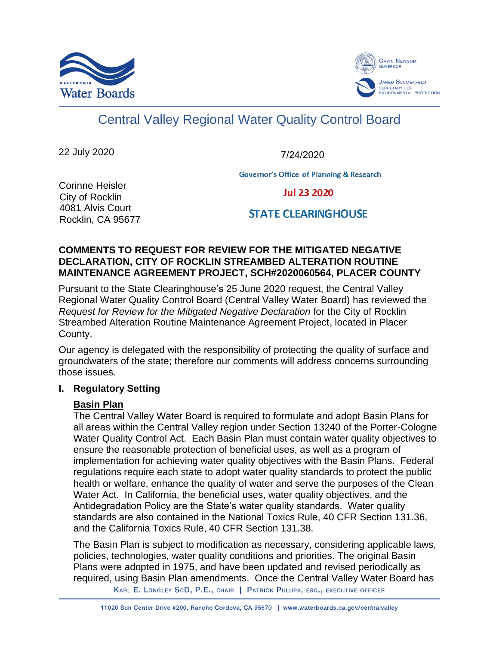



# Central Valley Regional Water Quality Control Board

22 July 2020

7/24/2020

**Governor's Office of Planning & Research** 

Corinne Heisler City of Rocklin 4081 Alvis Court Rocklin, CA 95677

**Jul 23 2020** 

**STATE CLEARING HOUSE** 

#### **COMMENTS TO REQUEST FOR REVIEW FOR THE MITIGATED NEGATIVE DECLARATION, CITY OF ROCKLIN STREAMBED ALTERATION ROUTINE MAINTENANCE AGREEMENT PROJECT, SCH#2020060564, PLACER COUNTY**

Pursuant to the State Clearinghouse's 25 June 2020 request, the Central Valley Regional Water Quality Control Board (Central Valley Water Board) has reviewed the *Request for Review for the Mitigated Negative Declaration* for the City of Rocklin Streambed Alteration Routine Maintenance Agreement Project, located in Placer County.

Our agency is delegated with the responsibility of protecting the quality of surface and groundwaters of the state; therefore our comments will address concerns surrounding those issues.

## **I. Regulatory Setting**

## **Basin Plan**

The Central Valley Water Board is required to formulate and adopt Basin Plans for all areas within the Central Valley region under Section 13240 of the Porter-Cologne Water Quality Control Act. Each Basin Plan must contain water quality objectives to ensure the reasonable protection of beneficial uses, as well as a program of implementation for achieving water quality objectives with the Basin Plans. Federal regulations require each state to adopt water quality standards to protect the public health or welfare, enhance the quality of water and serve the purposes of the Clean Water Act. In California, the beneficial uses, water quality objectives, and the Antidegradation Policy are the State's water quality standards. Water quality standards are also contained in the National Toxics Rule, 40 CFR Section 131.36, and the California Toxics Rule, 40 CFR Section 131.38.

The Basin Plan is subject to modification as necessary, considering applicable laws, policies, technologies, water quality conditions and priorities. The original Basin Plans were adopted in 1975, and have been updated and revised periodically as required, using Basin Plan amendments. Once the Central Valley Water Board has

KARL E. LONGLEY SCD, P.E., CHAIR | PATRICK PULUPA, ESQ., EXECUTIVE OFFICER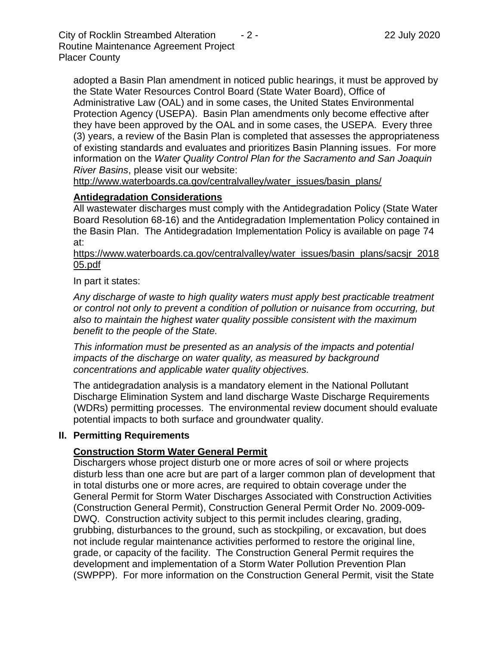City of Rocklin Streambed Alteration  $-2$  - 2. 22 July 2020 Routine Maintenance Agreement Project Placer County

adopted a Basin Plan amendment in noticed public hearings, it must be approved by the State Water Resources Control Board (State Water Board), Office of Administrative Law (OAL) and in some cases, the United States Environmental Protection Agency (USEPA). Basin Plan amendments only become effective after they have been approved by the OAL and in some cases, the USEPA. Every three (3) years, a review of the Basin Plan is completed that assesses the appropriateness of existing standards and evaluates and prioritizes Basin Planning issues. For more information on the *Water Quality Control Plan for the Sacramento and San Joaquin River Basins*, please visit our website:

[http://www.waterboards.ca.gov/centralvalley/water\\_issues/basin\\_plans/](http://www.waterboards.ca.gov/centralvalley/water_issues/basin_plans/)

# **Antidegradation Considerations**

All wastewater discharges must comply with the Antidegradation Policy (State Water Board Resolution 68-16) and the Antidegradation Implementation Policy contained in the Basin Plan. The Antidegradation Implementation Policy is available on page 74 at:

https://www.waterboards.ca.gov/centralvalley/water\_issues/basin\_plans/sacsjr\_2018 05.pdf

In part it states:

*Any discharge of waste to high quality waters must apply best practicable treatment or control not only to prevent a condition of pollution or nuisance from occurring, but also to maintain the highest water quality possible consistent with the maximum benefit to the people of the State.*

*This information must be presented as an analysis of the impacts and potential impacts of the discharge on water quality, as measured by background concentrations and applicable water quality objectives.*

The antidegradation analysis is a mandatory element in the National Pollutant Discharge Elimination System and land discharge Waste Discharge Requirements (WDRs) permitting processes. The environmental review document should evaluate potential impacts to both surface and groundwater quality.

## **II. Permitting Requirements**

## **Construction Storm Water General Permit**

Dischargers whose project disturb one or more acres of soil or where projects disturb less than one acre but are part of a larger common plan of development that in total disturbs one or more acres, are required to obtain coverage under the General Permit for Storm Water Discharges Associated with Construction Activities (Construction General Permit), Construction General Permit Order No. 2009-009- DWQ. Construction activity subject to this permit includes clearing, grading, grubbing, disturbances to the ground, such as stockpiling, or excavation, but does not include regular maintenance activities performed to restore the original line, grade, or capacity of the facility. The Construction General Permit requires the development and implementation of a Storm Water Pollution Prevention Plan (SWPPP). For more information on the Construction General Permit, visit the State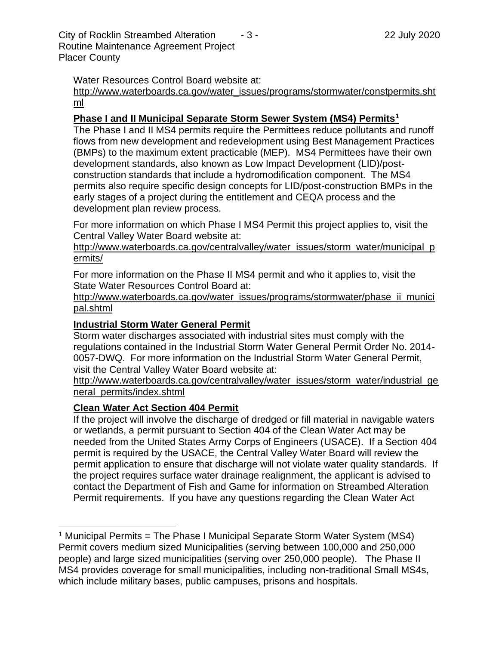Water Resources Control Board website at:

[http://www.waterboards.ca.gov/water\\_issues/programs/stormwater/constpermits.sht](http://www.waterboards.ca.gov/water_issues/programs/stormwater/constpermits.shtml) [ml](http://www.waterboards.ca.gov/water_issues/programs/stormwater/constpermits.shtml)

#### **Phase I and II Municipal Separate Storm Sewer System (MS4) Permits<sup>1</sup>**

The Phase I and II MS4 permits require the Permittees reduce pollutants and runoff flows from new development and redevelopment using Best Management Practices (BMPs) to the maximum extent practicable (MEP). MS4 Permittees have their own development standards, also known as Low Impact Development (LID)/postconstruction standards that include a hydromodification component. The MS4 permits also require specific design concepts for LID/post-construction BMPs in the early stages of a project during the entitlement and CEQA process and the development plan review process.

For more information on which Phase I MS4 Permit this project applies to, visit the Central Valley Water Board website at:

http://www.waterboards.ca.gov/centralvalley/water\_issues/storm\_water/municipal\_p ermits/

For more information on the Phase II MS4 permit and who it applies to, visit the State Water Resources Control Board at:

http://www.waterboards.ca.gov/water\_issues/programs/stormwater/phase\_ii\_munici pal.shtml

#### **Industrial Storm Water General Permit**

Storm water discharges associated with industrial sites must comply with the regulations contained in the Industrial Storm Water General Permit Order No. 2014- 0057-DWQ. For more information on the Industrial Storm Water General Permit, visit the Central Valley Water Board website at:

http://www.waterboards.ca.gov/centralvalley/water\_issues/storm\_water/industrial\_ge neral\_permits/index.shtml

#### **Clean Water Act Section 404 Permit**

If the project will involve the discharge of dredged or fill material in navigable waters or wetlands, a permit pursuant to Section 404 of the Clean Water Act may be needed from the United States Army Corps of Engineers (USACE). If a Section 404 permit is required by the USACE, the Central Valley Water Board will review the permit application to ensure that discharge will not violate water quality standards. If the project requires surface water drainage realignment, the applicant is advised to contact the Department of Fish and Game for information on Streambed Alteration Permit requirements. If you have any questions regarding the Clean Water Act

<sup>&</sup>lt;sup>1</sup> Municipal Permits = The Phase I Municipal Separate Storm Water System (MS4) Permit covers medium sized Municipalities (serving between 100,000 and 250,000 people) and large sized municipalities (serving over 250,000 people). The Phase II MS4 provides coverage for small municipalities, including non-traditional Small MS4s, which include military bases, public campuses, prisons and hospitals.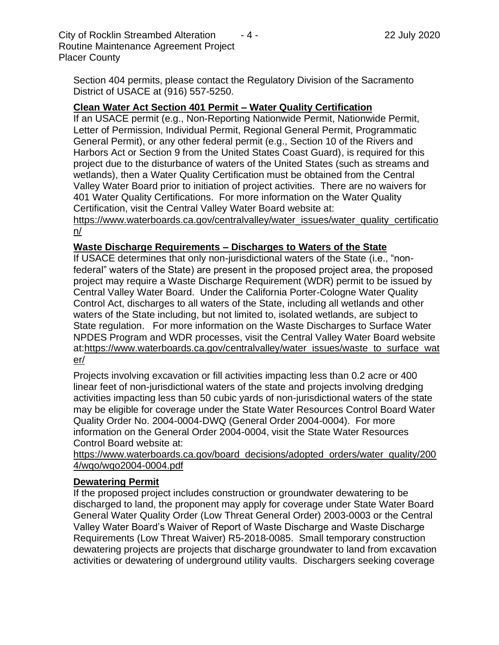City of Rocklin Streambed Alteration  $-4$  - 22 July 2020 Routine Maintenance Agreement Project Placer County

Section 404 permits, please contact the Regulatory Division of the Sacramento District of USACE at (916) 557-5250.

#### **Clean Water Act Section 401 Permit – Water Quality Certification**

If an USACE permit (e.g., Non-Reporting Nationwide Permit, Nationwide Permit, Letter of Permission, Individual Permit, Regional General Permit, Programmatic General Permit), or any other federal permit (e.g., Section 10 of the Rivers and Harbors Act or Section 9 from the United States Coast Guard), is required for this project due to the disturbance of waters of the United States (such as streams and wetlands), then a Water Quality Certification must be obtained from the Central Valley Water Board prior to initiation of project activities. There are no waivers for 401 Water Quality Certifications. For more information on the Water Quality Certification, visit the Central Valley Water Board website at:

https://www.waterboards.ca.gov/centralvalley/water\_issues/water\_quality\_certificatio n/

#### **Waste Discharge Requirements – Discharges to Waters of the State**

If USACE determines that only non-jurisdictional waters of the State (i.e., "nonfederal" waters of the State) are present in the proposed project area, the proposed project may require a Waste Discharge Requirement (WDR) permit to be issued by Central Valley Water Board. Under the California Porter-Cologne Water Quality Control Act, discharges to all waters of the State, including all wetlands and other waters of the State including, but not limited to, isolated wetlands, are subject to State regulation. For more information on the Waste Discharges to Surface Water NPDES Program and WDR processes, visit the Central Valley Water Board website at:https://www.waterboards.ca.gov/centralvalley/water\_issues/waste\_to\_surface\_wat er/

Projects involving excavation or fill activities impacting less than 0.2 acre or 400 linear feet of non-jurisdictional waters of the state and projects involving dredging activities impacting less than 50 cubic yards of non-jurisdictional waters of the state may be eligible for coverage under the State Water Resources Control Board Water Quality Order No. 2004-0004-DWQ (General Order 2004-0004). For more information on the General Order 2004-0004, visit the State Water Resources Control Board website at:

https://www.waterboards.ca.gov/board\_decisions/adopted\_orders/water\_quality/200 4/wqo/wqo2004-0004.pdf

#### **Dewatering Permit**

If the proposed project includes construction or groundwater dewatering to be discharged to land, the proponent may apply for coverage under State Water Board General Water Quality Order (Low Threat General Order) 2003-0003 or the Central Valley Water Board's Waiver of Report of Waste Discharge and Waste Discharge Requirements (Low Threat Waiver) R5-2018-0085. Small temporary construction dewatering projects are projects that discharge groundwater to land from excavation activities or dewatering of underground utility vaults. Dischargers seeking coverage